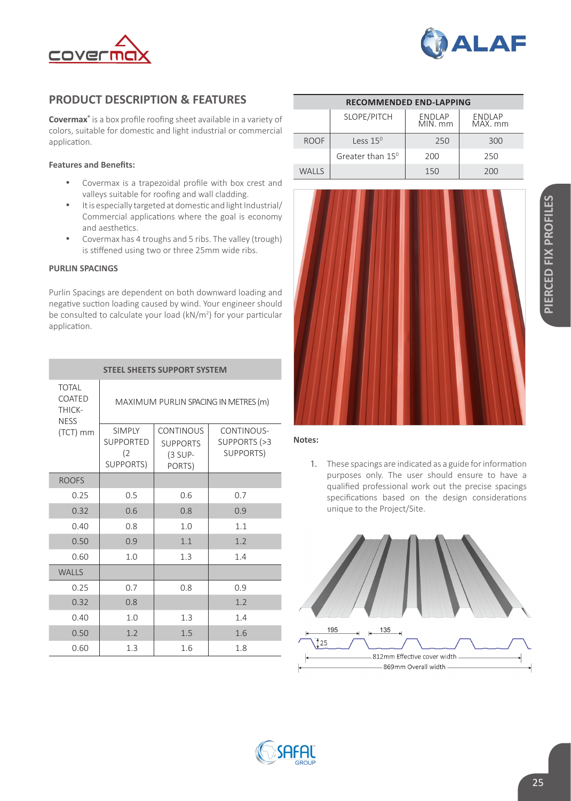



# **PRODUCT DESCRIPTION & FEATURES**

**Covermax®** is a box profile roofing sheet available in a variety of colors, suitable for domestic and light industrial or commercial application.

## **Features and Benefits:**

- • Covermax is a trapezoidal profile with box crest and valleys suitable for roofing and wall cladding.
- It is especially targeted at domestic and light Industrial/ Commercial applications where the goal is economy and aesthetics.
- Covermax has 4 troughs and 5 ribs. The valley (trough) is stiffened using two or three 25mm wide ribs.

### **PURLIN SPACINGS**

Purlin Spacings are dependent on both downward loading and negative suction loading caused by wind. Your engineer should be consulted to calculate your load (kN/m<sup>2</sup>) for your particular application.

| <b>STEEL SHEETS SUPPORT SYSTEM</b>              |                                                              |                                                            |                                         |  |
|-------------------------------------------------|--------------------------------------------------------------|------------------------------------------------------------|-----------------------------------------|--|
| <b>TOTAL</b><br>COATED<br>THICK-<br><b>NESS</b> | MAXIMUM PURLIN SPACING IN METRES (m)                         |                                                            |                                         |  |
| (TCT) mm                                        | <b>SIMPLY</b><br><b>SUPPORTED</b><br>(2)<br><b>SUPPORTS)</b> | <b>CONTINOUS</b><br><b>SUPPORTS</b><br>$(3$ SUP-<br>PORTS) | CONTINOUS-<br>SUPPORTS (>3<br>SUPPORTS) |  |
| <b>ROOFS</b>                                    |                                                              |                                                            |                                         |  |
| 0.25                                            | 0.5                                                          | 0.6                                                        | 0.7                                     |  |
| 0.32                                            | 0.6                                                          | 0.8                                                        | 0.9                                     |  |
| 0.40                                            | 0.8                                                          | 1.0                                                        | 1.1                                     |  |
| 0.50                                            | 0.9                                                          | 1.1                                                        | 1.2                                     |  |
| 0.60                                            | 1.0                                                          | 1.3                                                        | 1.4                                     |  |
| <b>WALLS</b>                                    |                                                              |                                                            |                                         |  |
| 0.25                                            | 0.7                                                          | 0.8                                                        | 0.9                                     |  |
| 0.32                                            | 0.8                                                          |                                                            | 1.2                                     |  |
| 0.40                                            | 1.0                                                          | 1.3                                                        | 1.4                                     |  |
| 0.50                                            | 1.2                                                          | 1.5                                                        | 1.6                                     |  |
| 0.60                                            | 1.3                                                          | 1.6                                                        | 1.8                                     |  |

| <b>RECOMMENDED END-LAPPING</b> |                              |                          |                   |  |  |
|--------------------------------|------------------------------|--------------------------|-------------------|--|--|
|                                | SLOPE/PITCH                  | <b>ENDLAP</b><br>MIN. mm | ENDLAP<br>MAX. mm |  |  |
| <b>ROOF</b>                    | 1ess 15 <sup>0</sup>         | 250                      | 300               |  |  |
|                                | Greater than 15 <sup>0</sup> | 200                      | 250               |  |  |
| WALLS                          |                              | 150                      | 200               |  |  |



#### **Notes:**

1. These spacings are indicated as a guide for information purposes only. The user should ensure to have a qualified professional work out the precise spacings specifications based on the design considerations unique to the Project/Site.